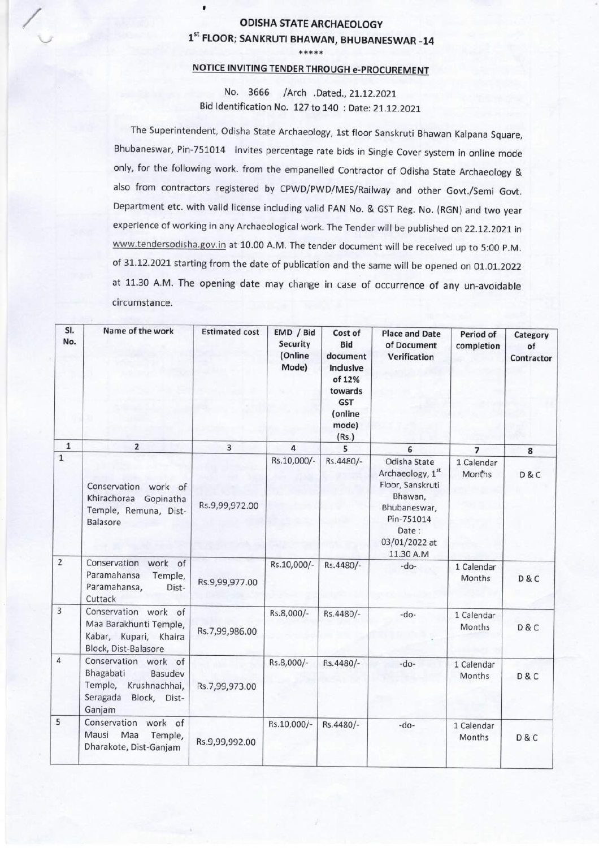## ODISHA STATE ARCHAEOLOGY 1st FLOOR; SANKRUTI BHAWAN, BHUBANESWAR -14 \*\*\*\*\*

 $\blacksquare$ 

## NOTICE INVITING TENDER THROUGH e-PROCUREMENT

No. 3666 /Arch .Dated.,21.12.2021 Bid Identification No. 127 to 140 : Date: 21.12.2021

The Superintendent, Odisha State Archaeology, 1st floor Sanskruti Bhawan Kalpana Square, Bhubaneswar, Pin-751014 invites percentage rate bids in Single Cover system in online mode only, for the following work. from the empanelled Contractor of Odisha State Archaeology & also from contractors registered by CPWD/PWD/MES/Railway and other Govt./Semi Govt. Department etc. with valid license including valid PAN No. & GST Reg. No. (RGN) and two year experience of working in any Archaeological work. The Tender will be published on 22.12.2021 in www.tendersodisha.gov.in at 10.00 A.M. The tender document will be received up to 5:00 P.M. of 31.12.2021 starting from the date of publication and the same will be opened on 01.01.2022 at 11.30 A.M. The opening date may change in case of occurrence of any un-avoidable circumstance.

| SI.<br>No.     | Name of the work                                                                                            | <b>Estimated cost</b> | EMD / Bid<br><b>Security</b><br>(Online<br>Mode) | Cost of<br><b>Bid</b><br>document<br>Inclusive<br>of 12%<br>towards<br><b>GST</b><br>(online<br>mode)<br>(Rs.) | <b>Place and Date</b><br>of Document<br>Verification                                                                                 | Period of<br>completion     | Category<br>of<br>Contractor |
|----------------|-------------------------------------------------------------------------------------------------------------|-----------------------|--------------------------------------------------|----------------------------------------------------------------------------------------------------------------|--------------------------------------------------------------------------------------------------------------------------------------|-----------------------------|------------------------------|
| $\mathbf 1$    | $\overline{2}$                                                                                              | 3                     | $\overline{a}$                                   | 5                                                                                                              | 6                                                                                                                                    | $\overline{7}$              | 8                            |
| $\mathbf 1$    | Conservation work of<br>Khirachoraa Gopinatha<br>Temple, Remuna, Dist-<br>Balasore                          | Rs.9,99,972.00        | Rs.10,000/-                                      | Rs.4480/-                                                                                                      | Odisha State<br>Archaeology, 1st<br>Floor, Sanskruti<br>Bhawan,<br>Bhubaneswar,<br>Pin-751014<br>Date:<br>03/01/2022 at<br>11.30 A.M | 1 Calendar<br>Months        | D & C                        |
| $\overline{2}$ | Conservation<br>work of<br>Paramahansa<br>Temple,<br>Paramahansa,<br>Dist-<br>Cuttack                       | Rs.9,99,977.00        | Rs.10,000/-                                      | Rs.4480/-                                                                                                      | $-do-$                                                                                                                               | 1 Calendar<br>Months        | D & C                        |
| $\overline{3}$ | Conservation work of<br>Maa Barakhunti Temple,<br>Kabar, Kupari, Khaira<br>Block, Dist-Balasore             | Rs.7,99,986.00        | Rs.8,000/-                                       | Rs.4480/-                                                                                                      | $-do-$                                                                                                                               | 1 Calendar<br><b>Months</b> | D & C                        |
| 4              | Conservation work of<br>Bhagabati<br>Basudev<br>Temple, Krushnachhai,<br>Seragada<br>Block, Dist-<br>Ganjam | Rs.7,99,973.00        | Rs.8,000/-                                       | Rs.4480/-                                                                                                      | $-do-$                                                                                                                               | 1 Calendar<br>Months        | D&C                          |
| 5              | Conservation<br>work of<br>Mausi<br>Maa<br>Temple,<br>Dharakote, Dist-Ganjam                                | Rs.9,99,992.00        | Rs.10,000/-                                      | Rs.4480/-                                                                                                      | $-do-$                                                                                                                               | 1 Calendar<br><b>Months</b> | D&C                          |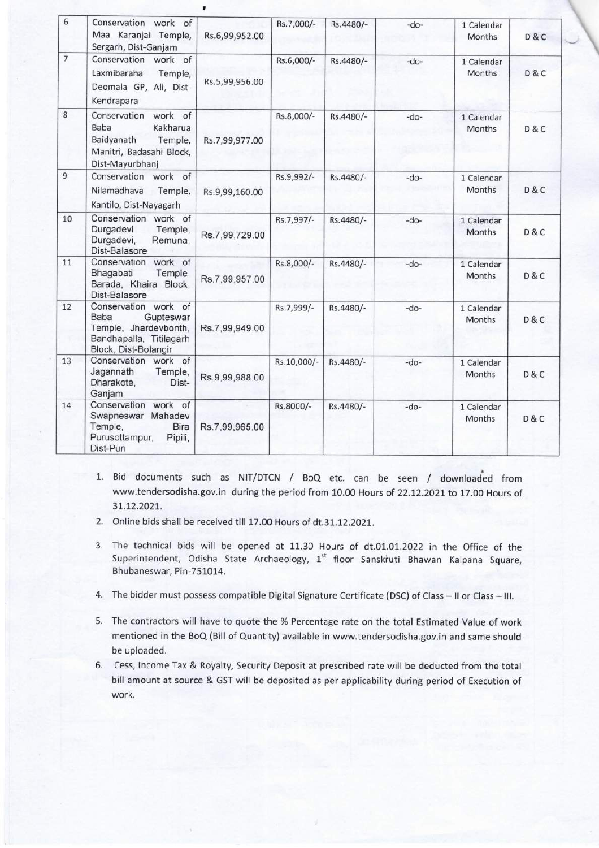| 6              | Conservation work of<br>Maa Karanjai Temple,<br>Sergarh, Dist-Ganjam                                                       | Rs.6,99,952.00 | Rs.7,000/-  | Rs.4480/- | $-do-$ | 1 Calendar<br>Months        | <b>D&amp;C</b> |
|----------------|----------------------------------------------------------------------------------------------------------------------------|----------------|-------------|-----------|--------|-----------------------------|----------------|
| $\overline{7}$ | Conservation work of<br>Laxmibaraha<br>Temple,<br>Deomala GP, Ali, Dist-<br>Kendrapara                                     | Rs.5,99,956.00 | Rs.6,000/-  | Rs.4480/- | $-do-$ | 1 Calendar<br>Months        | D & C          |
| $8\phantom{1}$ | work of<br>Conservation<br><b>Baba</b><br>Kakharua<br>Baidyanath<br>Temple,<br>Manitri, Badasahi Block,<br>Dist-Mayurbhanj | Rs.7,99,977.00 | Rs.8,000/-  | Rs.4480/- | $-do-$ | 1 Calendar<br><b>Months</b> | D & C          |
| $\overline{9}$ | Conservation work of<br>Nilamadhava<br>Temple,<br>Kantilo, Dist-Nayagarh                                                   | Rs.9,99,160.00 | Rs.9,992/-  | Rs.4480/- | $-do-$ | 1 Calendar<br>Months        | D&C            |
| 10             | Conservation work of<br>Durgadevi<br>Temple,<br>Durgadevi,<br>Remuna,<br>Dist-Balasore                                     | Rs.7,99,729.00 | Rs.7,997/-  | Rs.4480/- | $-do-$ | 1 Calendar<br>Months        | D&C            |
| 11             | Conservation work of<br>Bhagabati<br>Temple,<br>Barada, Khaira Block,<br>Dist-Balasore                                     | Rs.7,99,957.00 | Rs.8,000/-  | Rs.4480/- | $-do-$ | 1 Calendar<br>Months        | D & C          |
| 12             | Conservation work of<br>Baba<br>Gupteswar<br>Temple, Jhardevbonth,<br>Bandhapalla, Titilagarh<br>Block, Dist-Bolangir      | Rs.7,99,949.00 | Rs.7,999/-  | Rs.4480/- | $-do-$ | 1 Calendar<br>Months        | D&C            |
| 13             | Conservation<br>work of<br>Jagannath<br>Temple,<br>Dharakote,<br>Dist-<br>Ganjam                                           | Rs.9,99,988.00 | Rs.10,000/- | Rs.4480/- | $-do-$ | 1 Calendar<br>Months        | D & C          |
| 14             | Conservation work of<br>Swapneswar Mahadev<br>Temple,<br><b>Bira</b><br>Purusottampur,<br>Pipili,<br>Dist-Puri             | Rs.7,99,965.00 | Rs.8000/-   | Rs.4480/- | $-do-$ | 1 Calendar<br><b>Months</b> | D & C          |

- 1. Bid documents such as NIT/DTCN / BOQ etc. can be seen / downloaded from www.tendersodisha.gov.in during the period from 10.00 Hours of 22.12.2021 to 17.00 Hours of 31.12.2021.
- 2. Online bids shall be received till 17.00 Hours of dt.31.12.2021.
- 3. The technical bids will be opened at 11.30 Hours of dt.01.01.2022 in the Office of the Superintendent, Odisha State Archaeology, 1<sup>st</sup> floor Sanskruti Bhawan Kalpana Square, Bhubaneswar, Pin-751014.
- 4. The bidder must possess compatible Digital Signature Certificate (DSC) of Class II or Class III.
- 5. The contractors will have to quote the % Percentage rate on the total Estimated Value of work mentioned in the BoQ (Bill of Quantity) available in www.tendersodisha.gov.in and same should be uploaded.
- 6. Cess, Income Tax & Royalty, Security Deposit at prescribed rate will be deducted from the total bill amount at source & GST will be deposited as per applicability during period of Execution of work.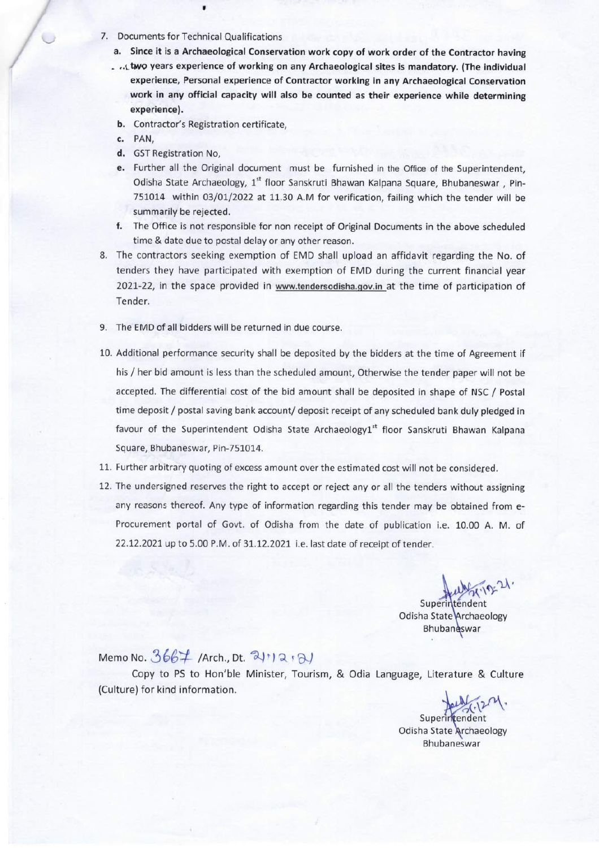7. Documents for Technical Qualifications

 $\blacksquare$ 

- a. Since it is a Archaeological Conservation work copy of work order of the Contractor having
- ... two years experience of working on any Archaeological sites is mandatory. (The individual experience, Personal experience of Contractor working in any Archaeological Conservation work in any official capacity will also be counted as their experience while determining experience).
- b. Contractor's Registration certificate,
- c. PAN'
- d. GST Registration No,
- e. Further all the Original document must be furnished in the Office of the Superintendent, Odisha State Archaeology, 1<sup>st</sup> floor Sanskruti Bhawan Kalpana Square, Bhubaneswar, Pin-751014 within 03/01/2022 at 11.30 A.M for verification, failing which the tender will be summarily be rejected.
- f. The Office is not responsible for non receipt of Original Documents in the above scheduled time & date due to postal delay or any other reason.
- 8. The contractors seeking exemption of EMD shall upload an affidavit regarding the No. of tenders they have participated with exemption of EMD during the current financial year 2021-22, in the space provided in www.tendersodisha.qov.in at the time of participation of Tender.
- 9. The EMD of all bidders will be returned in due course.
- 10. Additional performance security shall be deposited by the bidders at the time of Agreement if his / her bid amount is less than the scheduled amount, Otherwise the tender paper will not be accepted. The differential cost of the bid amount shall be deposited in shape of NSC / Postal time deposit / postal saving bank account/ deposit receipt of any scheduled bank duly pledged in favour of the Superintendent Odisha State Archaeology1st floor Sanskruti Bhawan Kalpana Square, Bhubaneswar, Pin-751014.
- 11. Further arbitrary quoting of excess amount over the estimated cost will not be considered.
- 12. The undersigned reserves the right to accept or reject any or all the tenders without assigning any reasons thereof. Any type of information regarding this tender may be obtained from e-Procurement portal of Govt. of Odisha from the date of publication i.e. 10.00 A. M. of 22.12.2021 up to 5.00 P.M. of 31.12.2021 i.e. last date of receipt of tender.

Superintendent Odisha State Archaeology Bhubaneswar

Memo No.  $3667$  /Arch., Dt.  $3\vert 12 \cdot 31 \rangle$ 

Copy to PS to Hon'ble Minister, Tourism, & Odia Language, Literature & Culture (Culture) for kind information.

Superintendent

Odisha State Archaeology Bhubaneswar